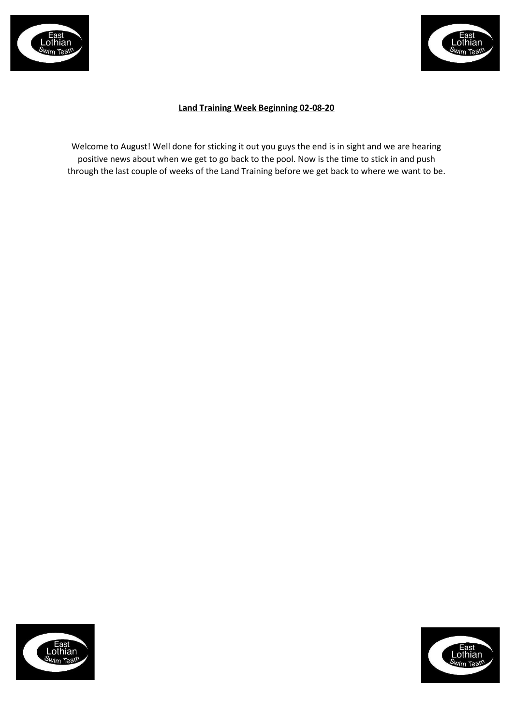



# **Land Training Week Beginning 02-08-20**

Welcome to August! Well done for sticking it out you guys the end is in sight and we are hearing positive news about when we get to go back to the pool. Now is the time to stick in and push through the last couple of weeks of the Land Training before we get back to where we want to be.



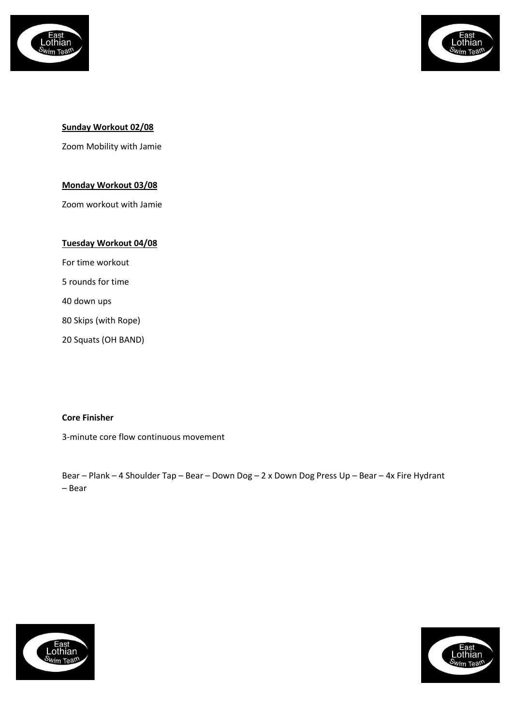



# **Sunday Workout 02/08**

Zoom Mobility with Jamie

### **Monday Workout 03/08**

Zoom workout with Jamie

# **Tuesday Workout 04/08** For time workout

5 rounds for time

40 down ups

80 Skips (with Rope)

20 Squats (OH BAND)

### **Core Finisher**

3-minute core flow continuous movement

Bear – Plank – 4 Shoulder Tap – Bear – Down Dog – 2 x Down Dog Press Up – Bear – 4x Fire Hydrant – Bear



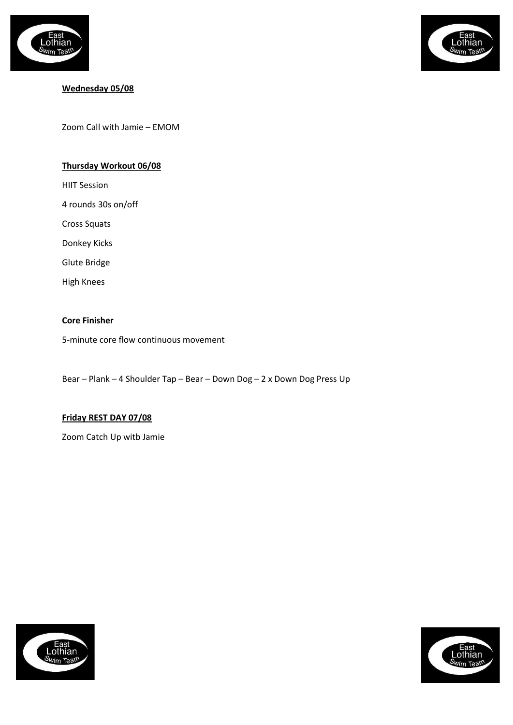



### **Wednesday 05/08**

Zoom Call with Jamie – EMOM

#### **Thursday Workout 06/08**

HIIT Session

4 rounds 30s on/off

Cross Squats

Donkey Kicks

Glute Bridge

High Knees

#### **Core Finisher**

5-minute core flow continuous movement

Bear – Plank – 4 Shoulder Tap – Bear – Down Dog – 2 x Down Dog Press Up

#### **Friday REST DAY 07/08**

Zoom Catch Up witb Jamie